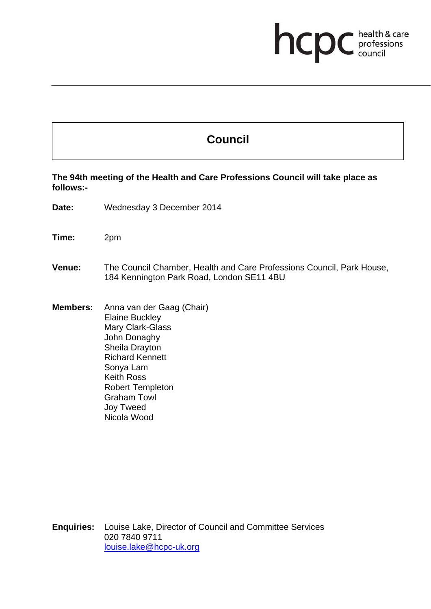## **health & care**

## **Council**

**The 94th meeting of the Health and Care Professions Council will take place as follows:-** 

**Date:** Wednesday 3 December 2014

**Time:** 2pm

## **Venue:** The Council Chamber, Health and Care Professions Council, Park House, 184 Kennington Park Road, London SE11 4BU

**Members:** Anna van der Gaag (Chair) Elaine Buckley Mary Clark-Glass John Donaghy Sheila Drayton Richard Kennett Sonya Lam Keith Ross Robert Templeton Graham Towl Joy Tweed Nicola Wood

**Enquiries:** Louise Lake, Director of Council and Committee Services 020 7840 9711 louise.lake@hcpc-uk.org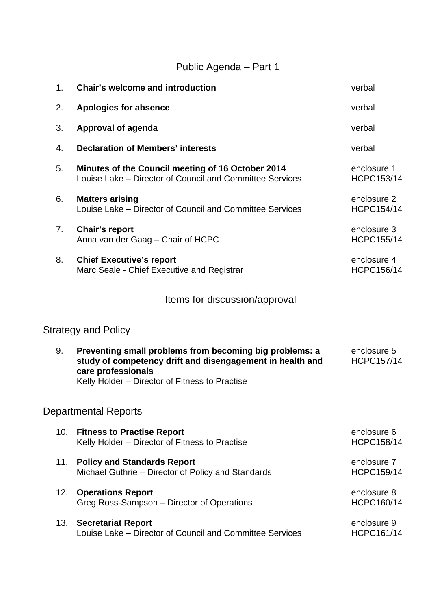## Public Agenda – Part 1

| 1 <sub>1</sub> | <b>Chair's welcome and introduction</b>                                                                                                                                                      | verbal                           |
|----------------|----------------------------------------------------------------------------------------------------------------------------------------------------------------------------------------------|----------------------------------|
| 2.             | <b>Apologies for absence</b>                                                                                                                                                                 | verbal                           |
| 3.             | Approval of agenda                                                                                                                                                                           | verbal                           |
| 4.             | <b>Declaration of Members' interests</b>                                                                                                                                                     | verbal                           |
| 5.             | Minutes of the Council meeting of 16 October 2014<br>Louise Lake – Director of Council and Committee Services                                                                                | enclosure 1<br><b>HCPC153/14</b> |
| 6.             | <b>Matters arising</b><br>Louise Lake – Director of Council and Committee Services                                                                                                           | enclosure 2<br><b>HCPC154/14</b> |
| 7.             | Chair's report<br>Anna van der Gaag - Chair of HCPC                                                                                                                                          | enclosure 3<br><b>HCPC155/14</b> |
| 8.             | <b>Chief Executive's report</b><br>Marc Seale - Chief Executive and Registrar                                                                                                                | enclosure 4<br><b>HCPC156/14</b> |
|                | Items for discussion/approval                                                                                                                                                                |                                  |
|                | <b>Strategy and Policy</b>                                                                                                                                                                   |                                  |
| 9.             | Preventing small problems from becoming big problems: a<br>study of competency drift and disengagement in health and<br>care professionals<br>Kelly Holder - Director of Fitness to Practise | enclosure 5<br><b>HCPC157/14</b> |
|                | <b>Departmental Reports</b>                                                                                                                                                                  |                                  |
| 10.            | <b>Fitness to Practise Report</b><br>Kelly Holder - Director of Fitness to Practise                                                                                                          | enclosure 6<br><b>HCPC158/14</b> |
| 11.            | <b>Policy and Standards Report</b><br>Michael Guthrie - Director of Policy and Standards                                                                                                     | enclosure 7<br><b>HCPC159/14</b> |
| 12.            | <b>Operations Report</b><br>Greg Ross-Sampson – Director of Operations                                                                                                                       | enclosure 8<br>HCPC160/14        |
| 13.            | <b>Secretariat Report</b><br>Louise Lake – Director of Council and Committee Services                                                                                                        | enclosure 9<br>HCPC161/14        |